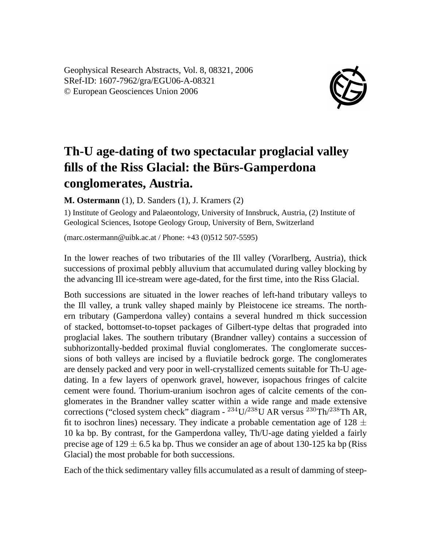Geophysical Research Abstracts, Vol. 8, 08321, 2006 SRef-ID: 1607-7962/gra/EGU06-A-08321 © European Geosciences Union 2006



## **Th-U age-dating of two spectacular proglacial valley fills of the Riss Glacial: the Bürs-Gamperdona conglomerates, Austria.**

**M. Ostermann** (1), D. Sanders (1), J. Kramers (2)

1) Institute of Geology and Palaeontology, University of Innsbruck, Austria, (2) Institute of Geological Sciences, Isotope Geology Group, University of Bern, Switzerland

(marc.ostermann@uibk.ac.at / Phone: +43 (0)512 507-5595)

In the lower reaches of two tributaries of the Ill valley (Vorarlberg, Austria), thick successions of proximal pebbly alluvium that accumulated during valley blocking by the advancing Ill ice-stream were age-dated, for the first time, into the Riss Glacial.

Both successions are situated in the lower reaches of left-hand tributary valleys to the Ill valley, a trunk valley shaped mainly by Pleistocene ice streams. The northern tributary (Gamperdona valley) contains a several hundred m thick succession of stacked, bottomset-to-topset packages of Gilbert-type deltas that prograded into proglacial lakes. The southern tributary (Brandner valley) contains a succession of subhorizontally-bedded proximal fluvial conglomerates. The conglomerate successions of both valleys are incised by a fluviatile bedrock gorge. The conglomerates are densely packed and very poor in well-crystallized cements suitable for Th-U agedating. In a few layers of openwork gravel, however, isopachous fringes of calcite cement were found. Thorium-uranium isochron ages of calcite cements of the conglomerates in the Brandner valley scatter within a wide range and made extensive corrections ("closed system check" diagram -  $^{234}$ U/ $^{238}$ U AR versus  $^{230}$ Th/ $^{238}$ Th AR, fit to isochron lines) necessary. They indicate a probable cementation age of 128  $\pm$ 10 ka bp. By contrast, for the Gamperdona valley, Th/U-age dating yielded a fairly precise age of  $129 \pm 6.5$  ka bp. Thus we consider an age of about 130-125 ka bp (Riss) Glacial) the most probable for both successions.

Each of the thick sedimentary valley fills accumulated as a result of damming of steep-